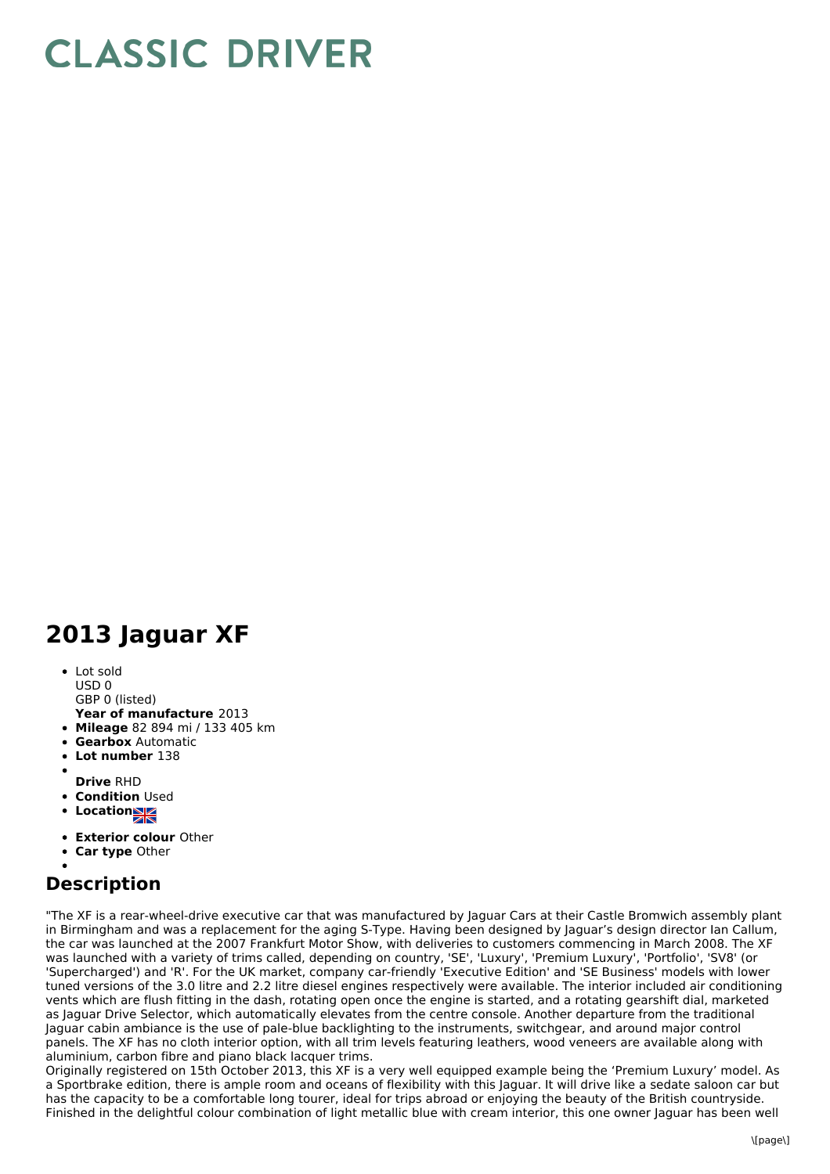## **CLASSIC DRIVER**

## **2013 Jaguar XF**

• Lot sold USD 0 GBP 0 (listed)

- **Year of manufacture** 2013
- **Mileage** 82 894 mi / 133 405 km
- **Gearbox** Automatic
- **Lot number** 138
- 
- **Drive** RHD
- **Condition Used**
- Location**NE**
- **Exterior colour** Other
- **Car type** Other
- 

## **Description**

"The XF is a rear-wheel-drive executive car that was manufactured by Jaguar Cars at their Castle Bromwich assembly plant in Birmingham and was a replacement for the aging S-Type. Having been designed by Jaguar's design director Ian Callum, the car was launched at the 2007 Frankfurt Motor Show, with deliveries to customers commencing in March 2008. The XF was launched with a variety of trims called, depending on country, 'SE', 'Luxury', 'Premium Luxury', 'Portfolio', 'SV8' (or 'Supercharged') and 'R'. For the UK market, company car-friendly 'Executive Edition' and 'SE Business' models with lower tuned versions of the 3.0 litre and 2.2 litre diesel engines respectively were available. The interior included air conditioning vents which are flush fitting in the dash, rotating open once the engine is started, and a rotating gearshift dial, marketed as Jaguar Drive Selector, which automatically elevates from the centre console. Another departure from the traditional Jaguar cabin ambiance is the use of pale-blue backlighting to the instruments, switchgear, and around major control panels. The XF has no cloth interior option, with all trim levels featuring leathers, wood veneers are available along with aluminium, carbon fibre and piano black lacquer trims.

Originally registered on 15th October 2013, this XF is a very well equipped example being the 'Premium Luxury' model. As a Sportbrake edition, there is ample room and oceans of flexibility with this Jaguar. It will drive like a sedate saloon car but has the capacity to be a comfortable long tourer, ideal for trips abroad or enjoying the beauty of the British countryside. Finished in the delightful colour combination of light metallic blue with cream interior, this one owner Jaguar has been well